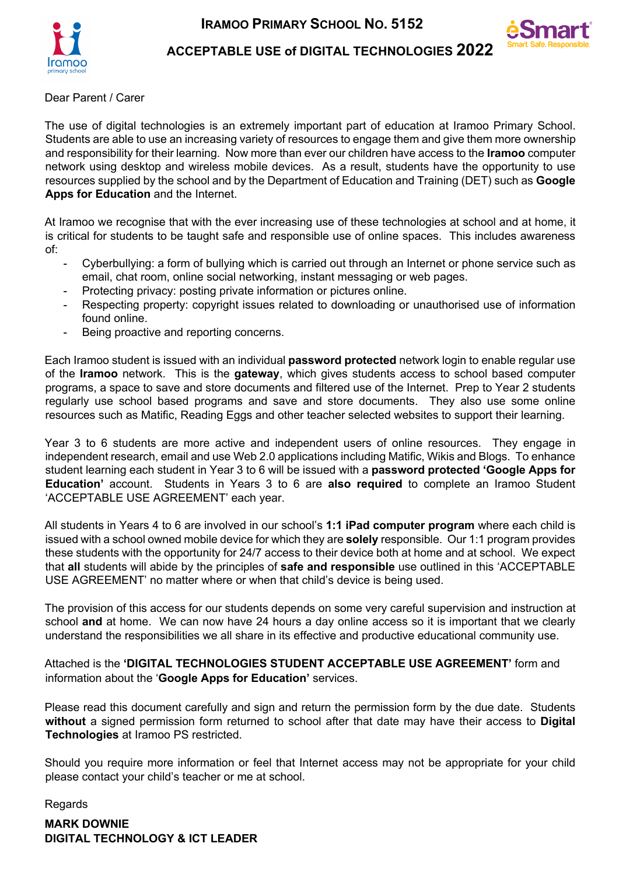



**ACCEPTABLE USE of DIGITAL TECHNOLOGIES 2022**

Dear Parent / Carer

The use of digital technologies is an extremely important part of education at Iramoo Primary School. Students are able to use an increasing variety of resources to engage them and give them more ownership and responsibility for their learning. Now more than ever our children have access to the **Iramoo** computer network using desktop and wireless mobile devices. As a result, students have the opportunity to use resources supplied by the school and by the Department of Education and Training (DET) such as **Google Apps for Education** and the Internet.

At Iramoo we recognise that with the ever increasing use of these technologies at school and at home, it is critical for students to be taught safe and responsible use of online spaces. This includes awareness of:

- Cyberbullying: a form of bullying which is carried out through an Internet or phone service such as email, chat room, online social networking, instant messaging or web pages.
- Protecting privacy: posting private information or pictures online.
- Respecting property: copyright issues related to downloading or unauthorised use of information found online.
- Being proactive and reporting concerns.

Each Iramoo student is issued with an individual **password protected** network login to enable regular use of the **Iramoo** network. This is the **gateway**, which gives students access to school based computer programs, a space to save and store documents and filtered use of the Internet. Prep to Year 2 students regularly use school based programs and save and store documents. They also use some online resources such as Matific, Reading Eggs and other teacher selected websites to support their learning.

Year 3 to 6 students are more active and independent users of online resources. They engage in independent research, email and use Web 2.0 applications including Matific, Wikis and Blogs. To enhance student learning each student in Year 3 to 6 will be issued with a **password protected 'Google Apps for Education'** account. Students in Years 3 to 6 are **also required** to complete an Iramoo Student 'ACCEPTABLE USE AGREEMENT' each year.

All students in Years 4 to 6 are involved in our school's **1:1 iPad computer program** where each child is issued with a school owned mobile device for which they are **solely** responsible. Our 1:1 program provides these students with the opportunity for 24/7 access to their device both at home and at school. We expect that **all** students will abide by the principles of **safe and responsible** use outlined in this 'ACCEPTABLE USE AGREEMENT' no matter where or when that child's device is being used.

The provision of this access for our students depends on some very careful supervision and instruction at school **and** at home. We can now have 24 hours a day online access so it is important that we clearly understand the responsibilities we all share in its effective and productive educational community use.

Attached is the **'DIGITAL TECHNOLOGIES STUDENT ACCEPTABLE USE AGREEMENT'** form and information about the '**Google Apps for Education'** services.

Please read this document carefully and sign and return the permission form by the due date. Students **without** a signed permission form returned to school after that date may have their access to **Digital Technologies** at Iramoo PS restricted.

Should you require more information or feel that Internet access may not be appropriate for your child please contact your child's teacher or me at school.

Regards

**MARK DOWNIE DIGITAL TECHNOLOGY & ICT LEADER**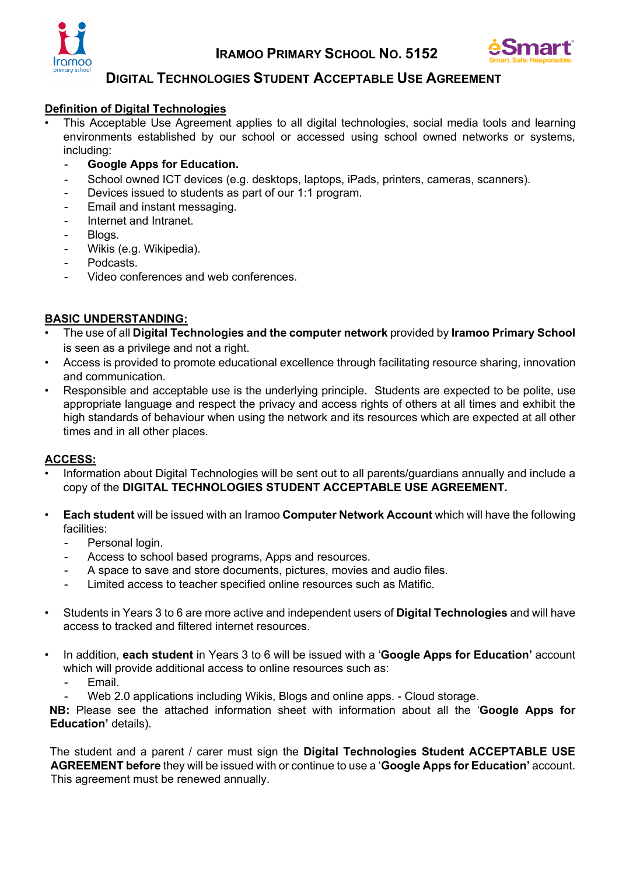



## **DIGITAL TECHNOLOGIES STUDENT ACCEPTABLE USE AGREEMENT**

#### **Definition of Digital Technologies**

- This Acceptable Use Agreement applies to all digital technologies, social media tools and learning environments established by our school or accessed using school owned networks or systems, including:
	- **Google Apps for Education.**
	- School owned ICT devices (e.g. desktops, laptops, iPads, printers, cameras, scanners).
	- Devices issued to students as part of our 1:1 program.
	- Email and instant messaging.
	- Internet and Intranet.
	- Blogs.
	- Wikis (e.g. Wikipedia).
	- Podcasts.
	- Video conferences and web conferences.

#### **BASIC UNDERSTANDING:**

- The use of all **Digital Technologies and the computer network** provided by **Iramoo Primary School** is seen as a privilege and not a right.
- Access is provided to promote educational excellence through facilitating resource sharing, innovation and communication.
- Responsible and acceptable use is the underlying principle. Students are expected to be polite, use appropriate language and respect the privacy and access rights of others at all times and exhibit the high standards of behaviour when using the network and its resources which are expected at all other times and in all other places.

#### **ACCESS:**

- Information about Digital Technologies will be sent out to all parents/guardians annually and include a copy of the **DIGITAL TECHNOLOGIES STUDENT ACCEPTABLE USE AGREEMENT.**
- **Each student** will be issued with an Iramoo **Computer Network Account** which will have the following facilities:
	- Personal login.
	- Access to school based programs, Apps and resources.
	- A space to save and store documents, pictures, movies and audio files.
	- Limited access to teacher specified online resources such as Matific.
- Students in Years 3 to 6 are more active and independent users of **Digital Technologies** and will have access to tracked and filtered internet resources.
- In addition, **each student** in Years 3 to 6 will be issued with a '**Google Apps for Education'** account which will provide additional access to online resources such as:
	- Email.
	- Web 2.0 applications including Wikis, Blogs and online apps. Cloud storage.

**NB:** Please see the attached information sheet with information about all the '**Google Apps for Education'** details).

The student and a parent / carer must sign the **Digital Technologies Student ACCEPTABLE USE AGREEMENT before** they will be issued with or continue to use a '**Google Apps for Education'** account. This agreement must be renewed annually.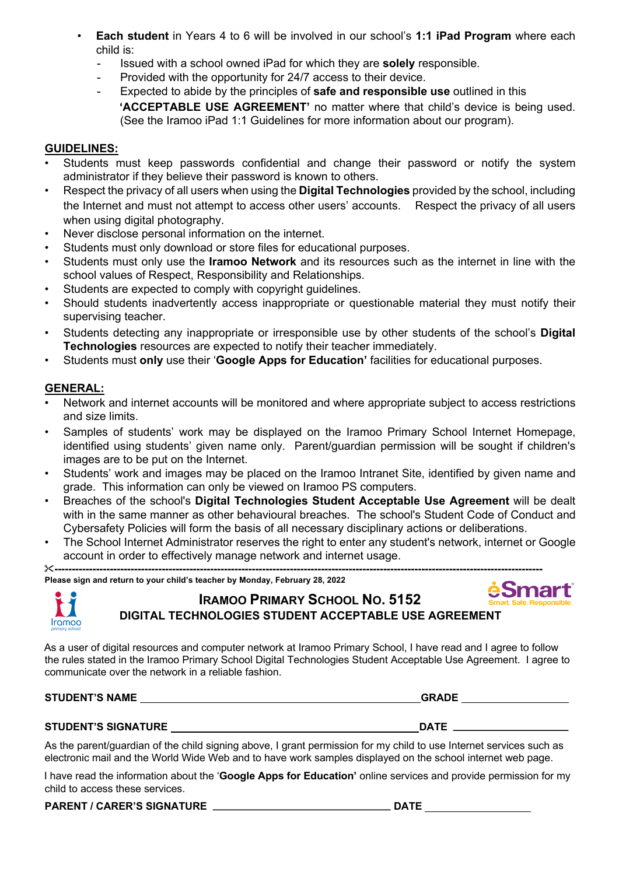- **Each student** in Years 4 to 6 will be involved in our school's **1:1 iPad Program** where each child is:
	- Issued with a school owned iPad for which they are **solely** responsible.
	- Provided with the opportunity for 24/7 access to their device.
	- Expected to abide by the principles of **safe and responsible use** outlined in this **'ACCEPTABLE USE AGREEMENT'** no matter where that child's device is being used. (See the Iramoo iPad 1:1 Guidelines for more information about our program).

#### **GUIDELINES:**

- Students must keep passwords confidential and change their password or notify the system administrator if they believe their password is known to others.
- Respect the privacy of all users when using the **Digital Technologies** provided by the school, including the Internet and must not attempt to access other users' accounts. Respect the privacy of all users when using digital photography.
- Never disclose personal information on the internet.
- Students must only download or store files for educational purposes.
- Students must only use the **Iramoo Network** and its resources such as the internet in line with the school values of Respect, Responsibility and Relationships.
- Students are expected to comply with copyright guidelines.
- Should students inadvertently access inappropriate or questionable material they must notify their supervising teacher.
- Students detecting any inappropriate or irresponsible use by other students of the school's **Digital Technologies** resources are expected to notify their teacher immediately.
- Students must **only** use their '**Google Apps for Education'** facilities for educational purposes.

#### **GENERAL:**

- Network and internet accounts will be monitored and where appropriate subject to access restrictions and size limits.
- Samples of students' work may be displayed on the Iramoo Primary School Internet Homepage, identified using students' given name only. Parent/guardian permission will be sought if children's images are to be put on the Internet.
- Students' work and images may be placed on the Iramoo Intranet Site, identified by given name and grade. This information can only be viewed on Iramoo PS computers.
- Breaches of the school's **Digital Technologies Student Acceptable Use Agreement** will be dealt with in the same manner as other behavioural breaches. The school's Student Code of Conduct and Cybersafety Policies will form the basis of all necessary disciplinary actions or deliberations.
- The School Internet Administrator reserves the right to enter any student's network, internet or Google account in order to effectively manage network and internet usage.

&**--------------------------------------------------------------------------------------------------------------------------------------------- Please sign and return to your child's teacher by Monday, February 28, 2022**



# **IRAMOO PRIMARY SCHOOL NO. 5152 DIGITAL TECHNOLOGIES STUDENT ACCEPTABLE USE AGREEMENT**

As a user of digital resources and computer network at Iramoo Primary School, I have read and I agree to follow the rules stated in the Iramoo Primary School Digital Technologies Student Acceptable Use Agreement. I agree to communicate over the network in a reliable fashion.

**STUDENT'S NAME** 

| iRAI |   |  |
|------|---|--|
| J.   | D |  |

#### **STUDENT'S SIGNATURE DATE**

As the parent/guardian of the child signing above, I grant permission for my child to use Internet services such as electronic mail and the World Wide Web and to have work samples displayed on the school internet web page.

I have read the information about the '**Google Apps for Education'** online services and provide permission for my child to access these services.

**PARENT / CARER'S SIGNATURE DATE**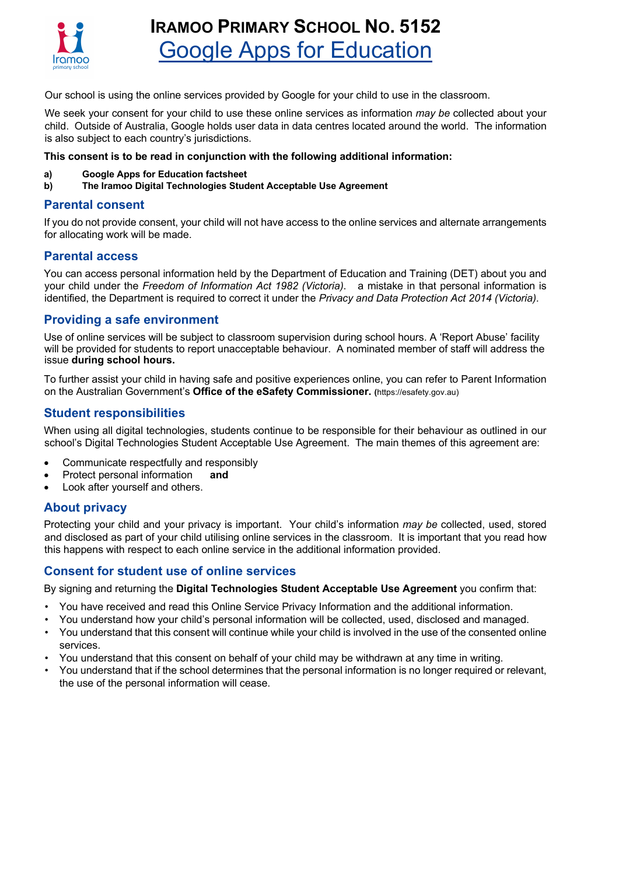

# **IRAMOO PRIMARY SCHOOL NO. 5152** Google Apps for Education

Our school is using the online services provided by Google for your child to use in the classroom.

We seek your consent for your child to use these online services as information *may be* collected about your child. Outside of Australia, Google holds user data in data centres located around the world. The information is also subject to each country's jurisdictions.

#### **This consent is to be read in conjunction with the following additional information:**

- **a) Google Apps for Education factsheet**
- **b) The Iramoo Digital Technologies Student Acceptable Use Agreement**

#### **Parental consent**

If you do not provide consent, your child will not have access to the online services and alternate arrangements for allocating work will be made.

#### **Parental access**

You can access personal information held by the Department of Education and Training (DET) about you and your child under the *Freedom of Information Act 1982 (Victoria)*. a mistake in that personal information is identified, the Department is required to correct it under the *Privacy and Data Protection Act 2014 (Victoria)*.

#### **Providing a safe environment**

Use of online services will be subject to classroom supervision during school hours. A 'Report Abuse' facility will be provided for students to report unacceptable behaviour. A nominated member of staff will address the issue **during school hours.** 

To further assist your child in having safe and positive experiences online, you can refer to Parent Information on the Australian Government's **Office of the eSafety Commissioner. (**https://esafety.gov.au)

#### **Student responsibilities**

When using all digital technologies, students continue to be responsible for their behaviour as outlined in our school's Digital Technologies Student Acceptable Use Agreement. The main themes of this agreement are:

- Communicate respectfully and responsibly
- Protect personal information **and**
- Look after yourself and others.

#### **About privacy**

Protecting your child and your privacy is important. Your child's information *may be* collected, used, stored and disclosed as part of your child utilising online services in the classroom. It is important that you read how this happens with respect to each online service in the additional information provided.

#### **Consent for student use of online services**

By signing and returning the **Digital Technologies Student Acceptable Use Agreement** you confirm that:

- You have received and read this Online Service Privacy Information and the additional information.
- You understand how your child's personal information will be collected, used, disclosed and managed.
- You understand that this consent will continue while your child is involved in the use of the consented online services.
- You understand that this consent on behalf of your child may be withdrawn at any time in writing.
- You understand that if the school determines that the personal information is no longer required or relevant, the use of the personal information will cease.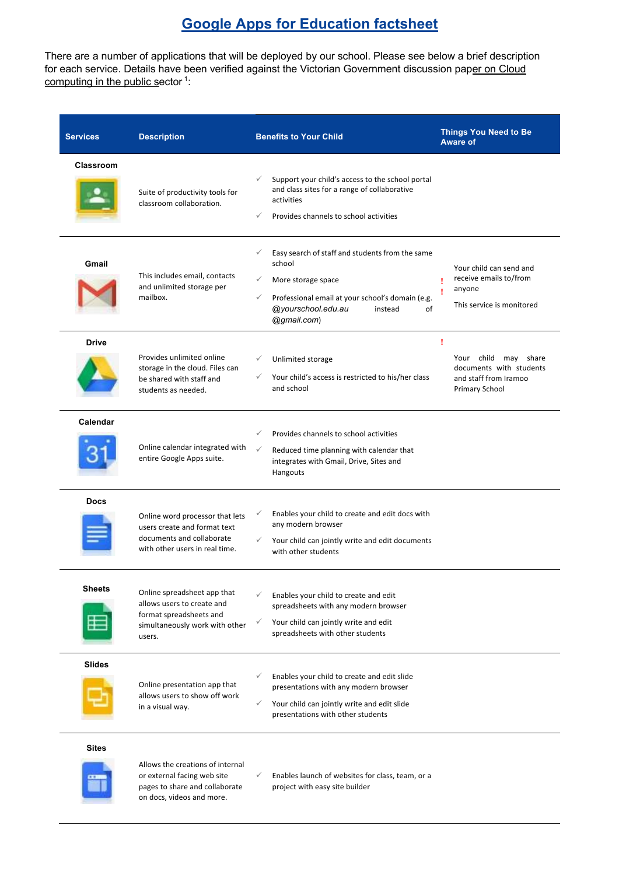# **Google Apps for Education factsheet**

There are a number of applications that will be deployed by our school. Please see below a brief description for each service. Details have been verified against the Victorian Government discussion paper on Cloud computing in the public sector<sup>1</sup>:

| <b>Services</b>  | <b>Description</b>                                                                                                               | <b>Benefits to Your Child</b>                                                                                                                                                                            | <b>Things You Need to Be</b><br><b>Aware of</b>                                                        |
|------------------|----------------------------------------------------------------------------------------------------------------------------------|----------------------------------------------------------------------------------------------------------------------------------------------------------------------------------------------------------|--------------------------------------------------------------------------------------------------------|
| <b>Classroom</b> | Suite of productivity tools for<br>classroom collaboration.                                                                      | ✓<br>Support your child's access to the school portal<br>and class sites for a range of collaborative<br>activities<br>✓<br>Provides channels to school activities                                       |                                                                                                        |
| Gmail            | This includes email, contacts<br>and unlimited storage per<br>mailbox.                                                           | Easy search of staff and students from the same<br>✓<br>school<br>✓<br>More storage space<br>Professional email at your school's domain (e.g.<br>✓<br>@yourschool.edu.au<br>instead<br>of<br>@gmail.com) | Your child can send and<br>receive emails to/from<br>٠<br>anyone<br>This service is monitored          |
| <b>Drive</b>     | Provides unlimited online<br>storage in the cloud. Files can<br>be shared with staff and<br>students as needed.                  | ✓<br>Unlimited storage<br>Your child's access is restricted to his/her class<br>and school                                                                                                               | ı<br>Your child may share<br>documents with students<br>and staff from Iramoo<br><b>Primary School</b> |
| Calendar         | Online calendar integrated with<br>entire Google Apps suite.                                                                     | Provides channels to school activities<br>✓<br>$\checkmark$<br>Reduced time planning with calendar that<br>integrates with Gmail, Drive, Sites and<br>Hangouts                                           |                                                                                                        |
| <b>Docs</b>      | Online word processor that lets<br>users create and format text<br>documents and collaborate<br>with other users in real time.   | Enables your child to create and edit docs with<br>✓<br>any modern browser<br>Your child can jointly write and edit documents<br>$\checkmark$<br>with other students                                     |                                                                                                        |
| <b>Sheets</b>    | Online spreadsheet app that<br>allows users to create and<br>format spreadsheets and<br>simultaneously work with other<br>users. | ✓<br>Enables your child to create and edit<br>spreadsheets with any modern browser<br>Your child can jointly write and edit<br>✓<br>spreadsheets with other students                                     |                                                                                                        |
| <b>Slides</b>    | Online presentation app that<br>allows users to show off work<br>in a visual way.                                                | Enables your child to create and edit slide<br>✓<br>presentations with any modern browser<br>✓<br>Your child can jointly write and edit slide<br>presentations with other students                       |                                                                                                        |
| <b>Sites</b>     |                                                                                                                                  |                                                                                                                                                                                                          |                                                                                                        |

Allows the creations of internal or external facing web site pages to share and collaborate on docs, videos and more.

 $\checkmark$  Enables launch of websites for class, team, or a project with easy site builder